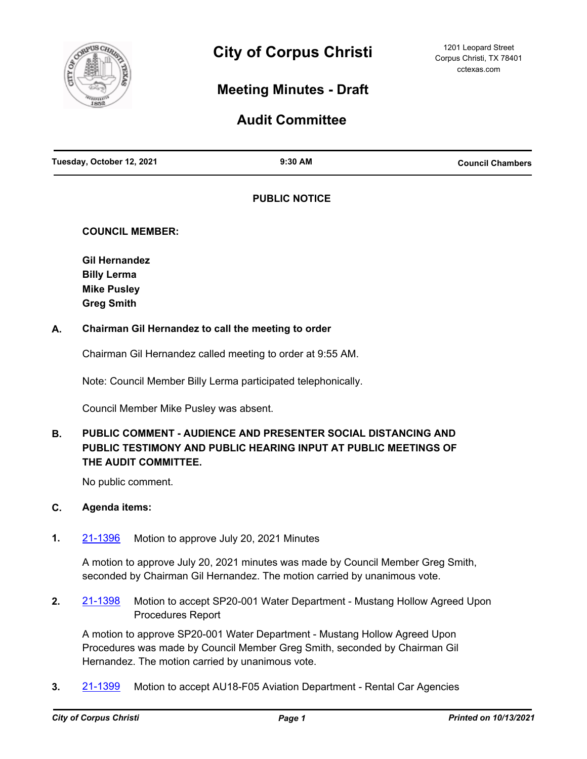

# **Meeting Minutes - Draft**

# **Audit Committee**

| Tuesday, October 12, 2021 | 9:30 AM | <b>Council Chambers</b> |
|---------------------------|---------|-------------------------|
|                           |         |                         |

# **PUBLIC NOTICE**

# **COUNCIL MEMBER:**

**Gil Hernandez Billy Lerma Mike Pusley Greg Smith**

# **A. Chairman Gil Hernandez to call the meeting to order**

Chairman Gil Hernandez called meeting to order at 9:55 AM.

Note: Council Member Billy Lerma participated telephonically.

Council Member Mike Pusley was absent.

#### **PUBLIC COMMENT - AUDIENCE AND PRESENTER SOCIAL DISTANCING AND PUBLIC TESTIMONY AND PUBLIC HEARING INPUT AT PUBLIC MEETINGS OF THE AUDIT COMMITTEE. B.**

No public comment.

### **C. Agenda items:**

**1.** [21-1396](http://corpuschristi.legistar.com/gateway.aspx?m=l&id=/matter.aspx?key=16579) Motion to approve July 20, 2021 Minutes

A motion to approve July 20, 2021 minutes was made by Council Member Greg Smith, seconded by Chairman Gil Hernandez. The motion carried by unanimous vote.

**2.** [21-1398](http://corpuschristi.legistar.com/gateway.aspx?m=l&id=/matter.aspx?key=16581) Motion to accept SP20-001 Water Department - Mustang Hollow Agreed Upon Procedures Report

A motion to approve SP20-001 Water Department - Mustang Hollow Agreed Upon Procedures was made by Council Member Greg Smith, seconded by Chairman Gil Hernandez. The motion carried by unanimous vote.

**3.** [21-1399](http://corpuschristi.legistar.com/gateway.aspx?m=l&id=/matter.aspx?key=16582) Motion to accept AU18-F05 Aviation Department - Rental Car Agencies